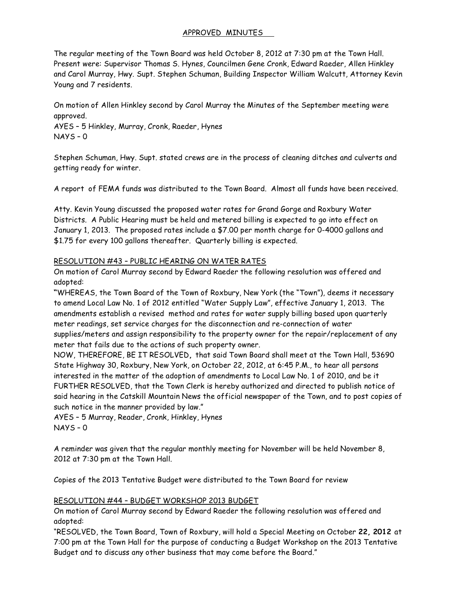### APPROVED MINUTES

The regular meeting of the Town Board was held October 8, 2012 at 7:30 pm at the Town Hall. Present were: Supervisor Thomas S. Hynes, Councilmen Gene Cronk, Edward Raeder, Allen Hinkley and Carol Murray, Hwy. Supt. Stephen Schuman, Building Inspector William Walcutt, Attorney Kevin Young and 7 residents.

On motion of Allen Hinkley second by Carol Murray the Minutes of the September meeting were approved.

AYES – 5 Hinkley, Murray, Cronk, Raeder, Hynes NAYS – 0

Stephen Schuman, Hwy. Supt. stated crews are in the process of cleaning ditches and culverts and getting ready for winter.

A report of FEMA funds was distributed to the Town Board. Almost all funds have been received.

Atty. Kevin Young discussed the proposed water rates for Grand Gorge and Roxbury Water Districts. A Public Hearing must be held and metered billing is expected to go into effect on January 1, 2013. The proposed rates include a \$7.00 per month charge for 0-4000 gallons and \$1.75 for every 100 gallons thereafter. Quarterly billing is expected.

### RESOLUTION #43 – PUBLIC HEARING ON WATER RATES

On motion of Carol Murray second by Edward Raeder the following resolution was offered and adopted:

**"**WHEREAS, the Town Board of the Town of Roxbury, New York (the "Town"), deems it necessary to amend Local Law No. 1 of 2012 entitled "Water Supply Law", effective January 1, 2013. The amendments establish a revised method and rates for water supply billing based upon quarterly meter readings, set service charges for the disconnection and re-connection of water supplies/meters and assign responsibility to the property owner for the repair/replacement of any meter that fails due to the actions of such property owner.

NOW, THEREFORE, BE IT RESOLVED**,** that said Town Board shall meet at the Town Hall, 53690 State Highway 30, Roxbury, New York, on October 22, 2012, at 6:45 P.M., to hear all persons interested in the matter of the adoption of amendments to Local Law No. 1 of 2010, and be it FURTHER RESOLVED, that the Town Clerk is hereby authorized and directed to publish notice of said hearing in the Catskill Mountain News the official newspaper of the Town, and to post copies of such notice in the manner provided by law."

AYES – 5 Murray, Reader, Cronk, Hinkley, Hynes NAYS – 0

A reminder was given that the regular monthly meeting for November will be held November 8, 2012 at 7:30 pm at the Town Hall.

Copies of the 2013 Tentative Budget were distributed to the Town Board for review

# RESOLUTION #44 – BUDGET WORKSHOP 2013 BUDGET

On motion of Carol Murray second by Edward Raeder the following resolution was offered and adopted:

"RESOLVED, the Town Board, Town of Roxbury, will hold a Special Meeting on October **22, 2012** at 7:00 pm at the Town Hall for the purpose of conducting a Budget Workshop on the 2013 Tentative Budget and to discuss any other business that may come before the Board."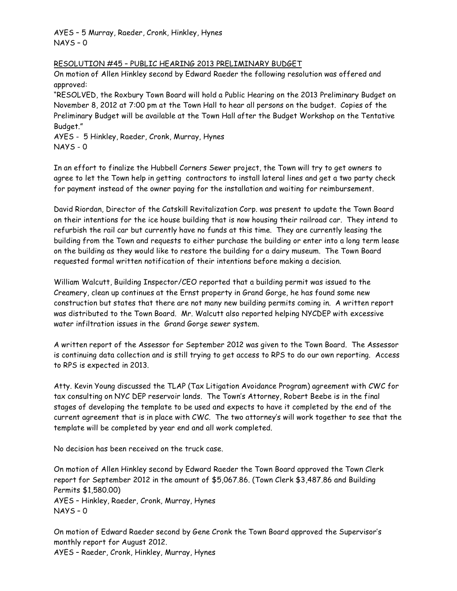AYES – 5 Murray, Raeder, Cronk, Hinkley, Hynes NAYS – 0

#### RESOLUTION #45 – PUBLIC HEARING 2013 PRELIMINARY BUDGET

On motion of Allen Hinkley second by Edward Raeder the following resolution was offered and approved:

"RESOLVED, the Roxbury Town Board will hold a Public Hearing on the 2013 Preliminary Budget on November 8, 2012 at 7:00 pm at the Town Hall to hear all persons on the budget. Copies of the Preliminary Budget will be available at the Town Hall after the Budget Workshop on the Tentative Budget."

AYES - 5 Hinkley, Raeder, Cronk, Murray, Hynes NAYS - 0

In an effort to finalize the Hubbell Corners Sewer project, the Town will try to get owners to agree to let the Town help in getting contractors to install lateral lines and get a two party check for payment instead of the owner paying for the installation and waiting for reimbursement.

David Riordan, Director of the Catskill Revitalization Corp. was present to update the Town Board on their intentions for the ice house building that is now housing their railroad car. They intend to refurbish the rail car but currently have no funds at this time. They are currently leasing the building from the Town and requests to either purchase the building or enter into a long term lease on the building as they would like to restore the building for a dairy museum. The Town Board requested formal written notification of their intentions before making a decision.

William Walcutt, Building Inspector/CEO reported that a building permit was issued to the Creamery, clean up continues at the Ernst property in Grand Gorge, he has found some new construction but states that there are not many new building permits coming in. A written report was distributed to the Town Board. Mr. Walcutt also reported helping NYCDEP with excessive water infiltration issues in the Grand Gorge sewer system.

A written report of the Assessor for September 2012 was given to the Town Board. The Assessor is continuing data collection and is still trying to get access to RPS to do our own reporting. Access to RPS is expected in 2013.

Atty. Kevin Young discussed the TLAP (Tax Litigation Avoidance Program) agreement with CWC for tax consulting on NYC DEP reservoir lands. The Town's Attorney, Robert Beebe is in the final stages of developing the template to be used and expects to have it completed by the end of the current agreement that is in place with CWC. The two attorney's will work together to see that the template will be completed by year end and all work completed.

No decision has been received on the truck case.

On motion of Allen Hinkley second by Edward Raeder the Town Board approved the Town Clerk report for September 2012 in the amount of \$5,067.86. (Town Clerk \$3,487.86 and Building Permits \$1,580.00) AYES – Hinkley, Raeder, Cronk, Murray, Hynes NAYS – 0

On motion of Edward Raeder second by Gene Cronk the Town Board approved the Supervisor's monthly report for August 2012.

AYES – Raeder, Cronk, Hinkley, Murray, Hynes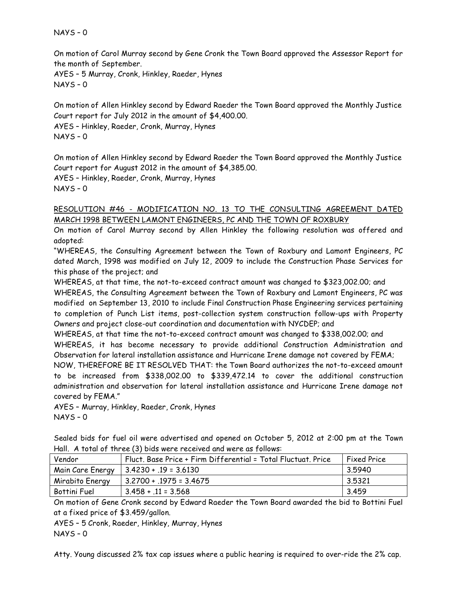NAYS – 0

On motion of Carol Murray second by Gene Cronk the Town Board approved the Assessor Report for the month of September.

AYES – 5 Murray, Cronk, Hinkley, Raeder, Hynes NAYS – 0

On motion of Allen Hinkley second by Edward Raeder the Town Board approved the Monthly Justice Court report for July 2012 in the amount of \$4,400.00.

AYES – Hinkley, Raeder, Cronk, Murray, Hynes

NAYS – 0

On motion of Allen Hinkley second by Edward Raeder the Town Board approved the Monthly Justice Court report for August 2012 in the amount of \$4,385.00.

AYES – Hinkley, Raeder, Cronk, Murray, Hynes NAYS – 0

### RESOLUTION #46 - MODIFICATION NO. 13 TO THE CONSULTING AGREEMENT DATED MARCH 1998 BETWEEN LAMONT ENGINEERS, PC AND THE TOWN OF ROXBURY

On motion of Carol Murray second by Allen Hinkley the following resolution was offered and adopted:

"WHEREAS, the Consulting Agreement between the Town of Roxbury and Lamont Engineers, PC dated March, 1998 was modified on July 12, 2009 to include the Construction Phase Services for this phase of the project; and

WHEREAS, at that time, the not-to-exceed contract amount was changed to \$323,002.00; and

WHEREAS, the Consulting Agreement between the Town of Roxbury and Lamont Engineers, PC was modified on September 13, 2010 to include Final Construction Phase Engineering services pertaining to completion of Punch List items, post-collection system construction follow-ups with Property Owners and project close-out coordination and documentation with NYCDEP; and

WHEREAS, at that time the not-to-exceed contract amount was changed to \$338,002.00; and WHEREAS, it has become necessary to provide additional Construction Administration and Observation for lateral installation assistance and Hurricane Irene damage not covered by FEMA;

NOW, THEREFORE BE IT RESOLVED THAT: the Town Board authorizes the not-to-exceed amount to be increased from \$338,002.00 to \$339,472.14 to cover the additional construction administration and observation for lateral installation assistance and Hurricane Irene damage not covered by FEMA."

AYES – Murray, Hinkley, Raeder, Cronk, Hynes NAYS – 0

|  |  |  |  |  | Sealed bids for fuel oil were advertised and opened on October 5, 2012 at 2:00 pm at the Town |  |  |  |  |
|--|--|--|--|--|-----------------------------------------------------------------------------------------------|--|--|--|--|
|  |  |  |  |  | Hall. A total of three (3) bids were received and were as follows:                            |  |  |  |  |

| Vendor           | Fluct. Base Price + Firm Differential = Total Fluctuat. Price | <b>Fixed Price</b> |
|------------------|---------------------------------------------------------------|--------------------|
| Main Care Energy | $  3.4230 + .19 = 3.6130$                                     | 3.5940             |
| Mirabito Energy  | $3.2700 + .1975 = 3.4675$                                     | 3.5321             |
| Bottini Fuel     | $3.458 + .11 = 3.568$                                         | 3.459              |

On motion of Gene Cronk second by Edward Raeder the Town Board awarded the bid to Bottini Fuel at a fixed price of \$3.459/gallon.

AYES – 5 Cronk, Raeder, Hinkley, Murray, Hynes NAYS – 0

Atty. Young discussed 2% tax cap issues where a public hearing is required to over-ride the 2% cap.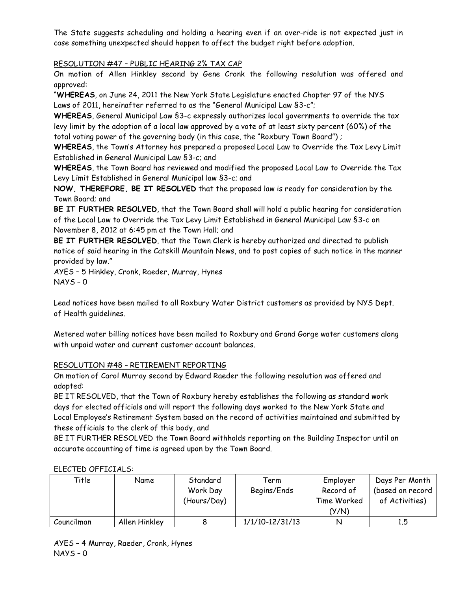The State suggests scheduling and holding a hearing even if an over-ride is not expected just in case something unexpected should happen to affect the budget right before adoption.

# RESOLUTION #47 – PUBLIC HEARING 2% TAX CAP

On motion of Allen Hinkley second by Gene Cronk the following resolution was offered and approved:

"**WHEREAS**, on June 24, 2011 the New York State Legislature enacted Chapter 97 of the NYS Laws of 2011, hereinafter referred to as the "General Municipal Law §3-c";

**WHEREAS**, General Municipal Law §3-c expressly authorizes local governments to override the tax levy limit by the adoption of a local law approved by a vote of at least sixty percent (60%) of the total voting power of the governing body (in this case, the "Roxbury Town Board") ;

**WHEREAS**, the Town's Attorney has prepared a proposed Local Law to Override the Tax Levy Limit Established in General Municipal Law §3-c; and

**WHEREAS**, the Town Board has reviewed and modified the proposed Local Law to Override the Tax Levy Limit Established in General Municipal law §3-c; and

**NOW, THEREFORE, BE IT RESOLVED** that the proposed law is ready for consideration by the Town Board; and

**BE IT FURTHER RESOLVED**, that the Town Board shall will hold a public hearing for consideration of the Local Law to Override the Tax Levy Limit Established in General Municipal Law §3-c on November 8, 2012 at 6:45 pm at the Town Hall; and

**BE IT FURTHER RESOLVED**, that the Town Clerk is hereby authorized and directed to publish notice of said hearing in the Catskill Mountain News, and to post copies of such notice in the manner provided by law."

AYES – 5 Hinkley, Cronk, Raeder, Murray, Hynes NAYS – 0

Lead notices have been mailed to all Roxbury Water District customers as provided by NYS Dept. of Health guidelines.

Metered water billing notices have been mailed to Roxbury and Grand Gorge water customers along with unpaid water and current customer account balances.

# RESOLUTION #48 – RETIREMENT REPORTING

On motion of Carol Murray second by Edward Raeder the following resolution was offered and adopted:

BE IT RESOLVED, that the Town of Roxbury hereby establishes the following as standard work days for elected officials and will report the following days worked to the New York State and Local Employee's Retirement System based on the record of activities maintained and submitted by these officials to the clerk of this body, and

BE IT FURTHER RESOLVED the Town Board withholds reporting on the Building Inspector until an accurate accounting of time is agreed upon by the Town Board.

| Title      | Name          | Standard<br>Work Day<br>(Hours/Day) | Term<br>Begins/Ends | Employer<br>Record of<br>Time Worked<br>(Y/N) | Days Per Month<br>(based on record<br>of Activities) |
|------------|---------------|-------------------------------------|---------------------|-----------------------------------------------|------------------------------------------------------|
| Councilman | Allen Hinkley |                                     | $1/1/10 - 12/31/13$ | N                                             | 1.5                                                  |

#### ELECTED OFFICIALS: